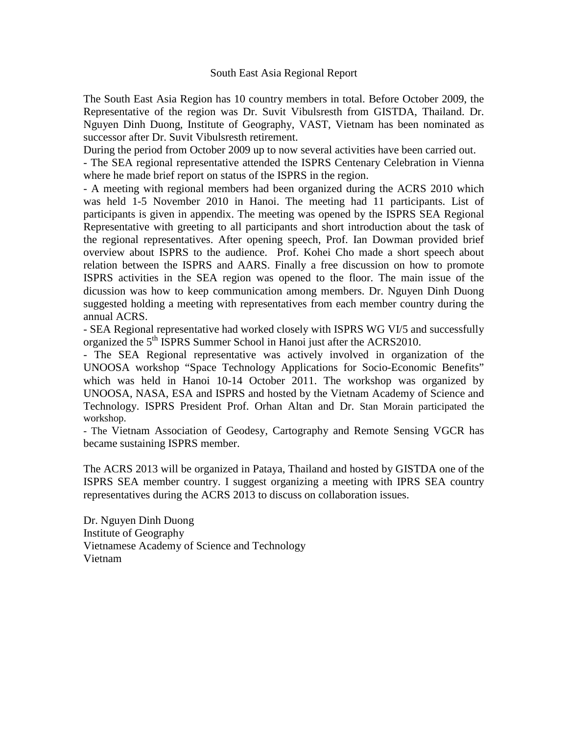## South East Asia Regional Report

The South East Asia Region has 10 country members in total. Before October 2009, the Representative of the region was Dr. Suvit Vibulsresth from GISTDA, Thailand. Dr. Nguyen Dinh Duong, Institute of Geography, VAST, Vietnam has been nominated as successor after Dr. Suvit Vibulsresth retirement.

During the period from October 2009 up to now several activities have been carried out.

- The SEA regional representative attended the ISPRS Centenary Celebration in Vienna where he made brief report on status of the ISPRS in the region.

- A meeting with regional members had been organized during the ACRS 2010 which was held 1-5 November 2010 in Hanoi. The meeting had 11 participants. List of participants is given in appendix. The meeting was opened by the ISPRS SEA Regional Representative with greeting to all participants and short introduction about the task of the regional representatives. After opening speech, Prof. Ian Dowman provided brief overview about ISPRS to the audience. Prof. Kohei Cho made a short speech about relation between the ISPRS and AARS. Finally a free discussion on how to promote ISPRS activities in the SEA region was opened to the floor. The main issue of the dicussion was how to keep communication among members. Dr. Nguyen Dinh Duong suggested holding a meeting with representatives from each member country during the annual ACRS.

- SEA Regional representative had worked closely with ISPRS WG VI/5 and successfully organized the 5<sup>th</sup> ISPRS Summer School in Hanoi just after the ACRS2010.

- The SEA Regional representative was actively involved in organization of the UNOOSA workshop "Space Technology Applications for Socio-Economic Benefits" which was held in Hanoi 10-14 October 2011. The workshop was organized by UNOOSA, NASA, ESA and ISPRS and hosted by the Vietnam Academy of Science and Technology. ISPRS President Prof. Orhan Altan and Dr. Stan Morain participated the workshop.

- The Vietnam Association of Geodesy, Cartography and Remote Sensing VGCR has became sustaining ISPRS member.

The ACRS 2013 will be organized in Pataya, Thailand and hosted by GISTDA one of the ISPRS SEA member country. I suggest organizing a meeting with IPRS SEA country representatives during the ACRS 2013 to discuss on collaboration issues.

Dr. Nguyen Dinh Duong Institute of Geography Vietnamese Academy of Science and Technology Vietnam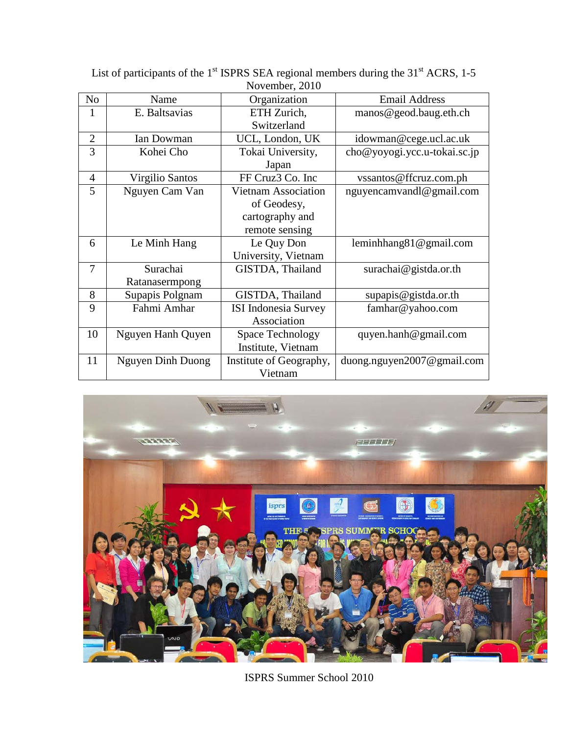| 1101000, 2010  |                          |                             |                              |
|----------------|--------------------------|-----------------------------|------------------------------|
| N <sub>0</sub> | Name                     | Organization                | <b>Email Address</b>         |
| 1              | E. Baltsavias            | ETH Zurich,                 | manos@geod.baug.eth.ch       |
|                |                          | Switzerland                 |                              |
| $\overline{2}$ | Ian Dowman               | UCL, London, UK             | idowman@cege.ucl.ac.uk       |
| 3              | Kohei Cho                | Tokai University,           | cho@yoyogi.ycc.u-tokai.sc.jp |
|                |                          | Japan                       |                              |
| $\overline{4}$ | Virgilio Santos          | FF Cruz3 Co. Inc            | vssantos@ffcruz.com.ph       |
| 5              | Nguyen Cam Van           | <b>Vietnam Association</b>  | nguyencamvandl@gmail.com     |
|                |                          | of Geodesy,                 |                              |
|                |                          | cartography and             |                              |
|                |                          | remote sensing              |                              |
| 6              | Le Minh Hang             | Le Quy Don                  | leminhang81@gmail.com        |
|                |                          | University, Vietnam         |                              |
| 7              | Surachai                 | GISTDA, Thailand            | surachai@gistda.or.th        |
|                | Ratanasermpong           |                             |                              |
| 8              | Supapis Polgnam          | GISTDA, Thailand            | supapis@gistda.or.th         |
| 9              | Fahmi Amhar              | <b>ISI</b> Indonesia Survey | famhar@yahoo.com             |
|                |                          | Association                 |                              |
| 10             | Nguyen Hanh Quyen        | <b>Space Technology</b>     | quyen.hanh@gmail.com         |
|                |                          | Institute, Vietnam          |                              |
| 11             | <b>Nguyen Dinh Duong</b> | Institute of Geography,     | duong.nguyen2007@gmail.com   |
|                |                          | Vietnam                     |                              |

List of participants of the  $1<sup>st</sup>$  ISPRS SEA regional members during the 31 $<sup>st</sup>$  ACRS, 1-5</sup> November, 2010



ISPRS Summer School 2010